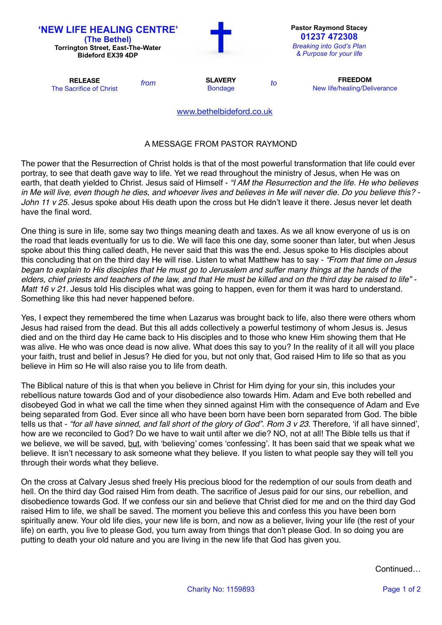| 'NEW LIFE HEALING CENTRE'<br>(The Bethel)<br><b>Torrington Street, East-The-Water</b><br><b>Bideford EX39 4DP</b> |      | <b>Pastor Raymond Stacey</b><br>01237 472308<br><b>Breaking into God's Plan</b><br>& Purpose for your life |    |                                                |
|-------------------------------------------------------------------------------------------------------------------|------|------------------------------------------------------------------------------------------------------------|----|------------------------------------------------|
| <b>RELEASE</b><br>The Sacrifice of Christ                                                                         | from | <b>SLAVERY</b><br><b>Bondage</b>                                                                           | to | <b>FREEDOM</b><br>New life/healing/Deliverance |
|                                                                                                                   |      | www.bethelbideford.co.uk                                                                                   |    |                                                |

## A MESSAGE FROM PASTOR RAYMOND

The power that the Resurrection of Christ holds is that of the most powerful transformation that life could ever portray, to see that death gave way to life. Yet we read throughout the ministry of Jesus, when He was on earth, that death yielded to Christ. Jesus said of Himself - *"I AM the Resurrection and the life. He who believes in Me will live, even though he dies, and whoever lives and believes in Me will never die. Do you believe this? -*  John 11 v 25. Jesus spoke about His death upon the cross but He didn't leave it there. Jesus never let death have the final word.

One thing is sure in life, some say two things meaning death and taxes. As we all know everyone of us is on the road that leads eventually for us to die. We will face this one day, some sooner than later, but when Jesus spoke about this thing called death, He never said that this was the end. Jesus spoke to His disciples about this concluding that on the third day He will rise. Listen to what Matthew has to say - *"From that time on Jesus began to explain to His disciples that He must go to Jerusalem and suffer many things at the hands of the elders, chief priests and teachers of the law, and that He must be killed and on the third day be raised to life" - Matt 16 v 21.* Jesus told His disciples what was going to happen, even for them it was hard to understand. Something like this had never happened before.

Yes, I expect they remembered the time when Lazarus was brought back to life, also there were others whom Jesus had raised from the dead. But this all adds collectively a powerful testimony of whom Jesus is. Jesus died and on the third day He came back to His disciples and to those who knew Him showing them that He was alive. He who was once dead is now alive. What does this say to you? In the reality of it all will you place your faith, trust and belief in Jesus? He died for you, but not only that, God raised Him to life so that as you believe in Him so He will also raise you to life from death.

The Biblical nature of this is that when you believe in Christ for Him dying for your sin, this includes your rebellious nature towards God and of your disobedience also towards Him. Adam and Eve both rebelled and disobeyed God in what we call the time when they sinned against Him with the consequence of Adam and Eve being separated from God. Ever since all who have been born have been born separated from God. The bible tells us that - "for all have sinned, and fall short of the glory of God". Rom 3 v 23. Therefore, 'if all have sinned', how are we reconciled to God? Do we have to wait until after we die? NO, not at all! The Bible tells us that if we believe, we will be saved, but, with 'believing' comes 'confessing'. It has been said that we speak what we believe. It isn't necessary to ask someone what they believe. If you listen to what people say they will tell you through their words what they believe.

On the cross at Calvary Jesus shed freely His precious blood for the redemption of our souls from death and hell. On the third day God raised Him from death. The sacrifice of Jesus paid for our sins, our rebellion, and disobedience towards God. If we confess our sin and believe that Christ died for me and on the third day God raised Him to life, we shall be saved. The moment you believe this and confess this you have been born spiritually anew. Your old life dies, your new life is born, and now as a believer, living your life (the rest of your life) on earth, you live to please God, you turn away from things that don't please God. In so doing you are putting to death your old nature and you are living in the new life that God has given you.

Continued…